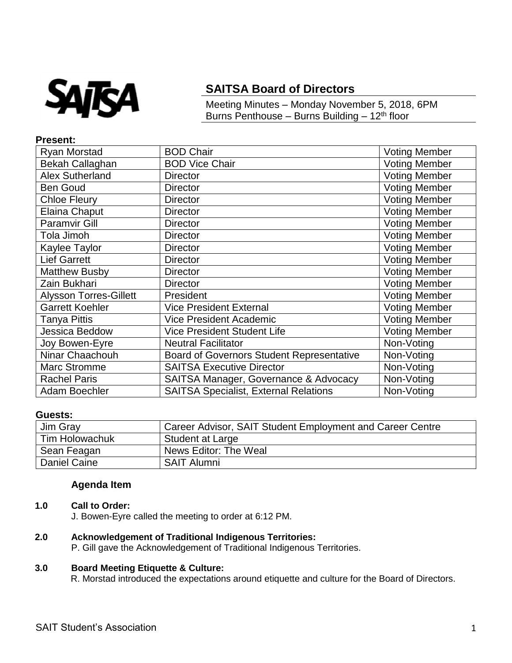

# **SAITSA Board of Directors**

Meeting Minutes – Monday November 5, 2018, 6PM Burns Penthouse – Burns Building – 12th floor

## **Present:**

| <b>Ryan Morstad</b>           | <b>BOD Chair</b>                                 | <b>Voting Member</b> |
|-------------------------------|--------------------------------------------------|----------------------|
| Bekah Callaghan               | <b>BOD Vice Chair</b>                            | <b>Voting Member</b> |
| <b>Alex Sutherland</b>        | <b>Director</b>                                  | <b>Voting Member</b> |
| <b>Ben Goud</b>               | <b>Director</b>                                  | Voting Member        |
| <b>Chloe Fleury</b>           | <b>Director</b>                                  | <b>Voting Member</b> |
| Elaina Chaput                 | <b>Director</b>                                  | <b>Voting Member</b> |
| <b>Paramvir Gill</b>          | <b>Director</b>                                  | <b>Voting Member</b> |
| Tola Jimoh                    | <b>Director</b>                                  | <b>Voting Member</b> |
| Kaylee Taylor                 | <b>Director</b>                                  | <b>Voting Member</b> |
| <b>Lief Garrett</b>           | <b>Director</b>                                  | <b>Voting Member</b> |
| <b>Matthew Busby</b>          | <b>Director</b>                                  | Voting Member        |
| Zain Bukhari                  | <b>Director</b>                                  | <b>Voting Member</b> |
| <b>Alysson Torres-Gillett</b> | President                                        | <b>Voting Member</b> |
| <b>Garrett Koehler</b>        | <b>Vice President External</b>                   | <b>Voting Member</b> |
| Tanya Pittis                  | <b>Vice President Academic</b>                   | <b>Voting Member</b> |
| Jessica Beddow                | <b>Vice President Student Life</b>               | <b>Voting Member</b> |
| Joy Bowen-Eyre                | <b>Neutral Facilitator</b>                       | Non-Voting           |
| Ninar Chaachouh               | <b>Board of Governors Student Representative</b> | Non-Voting           |
| <b>Marc Stromme</b>           | <b>SAITSA Executive Director</b>                 | Non-Voting           |
| <b>Rachel Paris</b>           | SAITSA Manager, Governance & Advocacy            | Non-Voting           |
| Adam Boechler                 | <b>SAITSA Specialist, External Relations</b>     | Non-Voting           |

#### **Guests:**

| Jim Gray              | Career Advisor, SAIT Student Employment and Career Centre |  |
|-----------------------|-----------------------------------------------------------|--|
| <b>Tim Holowachuk</b> | Student at Large                                          |  |
| Sean Feagan           | News Editor: The Weal                                     |  |
| Daniel Caine          | <b>SAIT Alumni</b>                                        |  |

## **Agenda Item**

## **1.0 Call to Order:**

J. Bowen-Eyre called the meeting to order at 6:12 PM.

- **2.0 Acknowledgement of Traditional Indigenous Territories:**
	- P. Gill gave the Acknowledgement of Traditional Indigenous Territories.

## **3.0 Board Meeting Etiquette & Culture:**

R. Morstad introduced the expectations around etiquette and culture for the Board of Directors.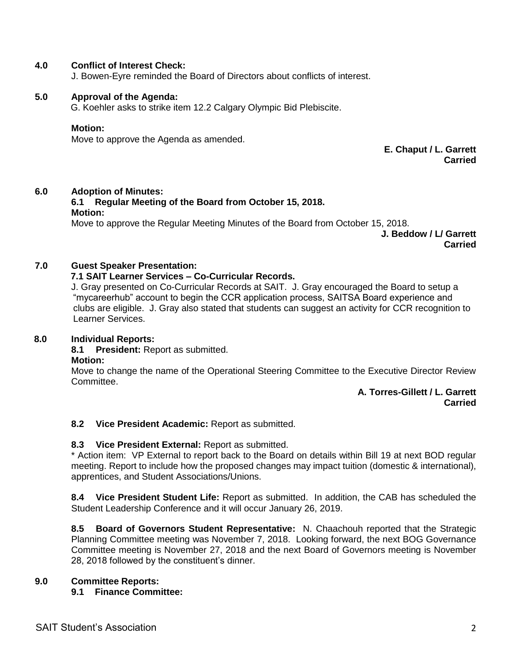## **4.0 Conflict of Interest Check:**

J. Bowen-Eyre reminded the Board of Directors about conflicts of interest.

## **5.0 Approval of the Agenda:**

G. Koehler asks to strike item 12.2 Calgary Olympic Bid Plebiscite.

#### **Motion:**

Move to approve the Agenda as amended.

**E. Chaput / L. Garrett Carried**

## **6.0 Adoption of Minutes:**

#### **6.1 Regular Meeting of the Board from October 15, 2018. Motion:**

Move to approve the Regular Meeting Minutes of the Board from October 15, 2018.

**J. Beddow / L/ Garrett Carried**

## **7.0 Guest Speaker Presentation:**

## **7.1 SAIT Learner Services – Co-Curricular Records.**

J. Gray presented on Co-Curricular Records at SAIT. J. Gray encouraged the Board to setup a "mycareerhub" account to begin the CCR application process, SAITSA Board experience and clubs are eligible. J. Gray also stated that students can suggest an activity for CCR recognition to Learner Services.

#### **8.0 Individual Reports:**

**8.1 President:** Report as submitted.

#### **Motion:**

Move to change the name of the Operational Steering Committee to the Executive Director Review Committee.

#### **A. Torres-Gillett / L. Garrett Carried**

#### **8.2 Vice President Academic:** Report as submitted.

#### **8.3 Vice President External:** Report as submitted.

\* Action item: VP External to report back to the Board on details within Bill 19 at next BOD regular meeting. Report to include how the proposed changes may impact tuition (domestic & international), apprentices, and Student Associations/Unions.

**8.4 Vice President Student Life:** Report as submitted. In addition, the CAB has scheduled the Student Leadership Conference and it will occur January 26, 2019.

**8.5 Board of Governors Student Representative:** N. Chaachouh reported that the Strategic Planning Committee meeting was November 7, 2018. Looking forward, the next BOG Governance Committee meeting is November 27, 2018 and the next Board of Governors meeting is November 28, 2018 followed by the constituent's dinner.

## **9.0 Committee Reports:**

**9.1 Finance Committee:**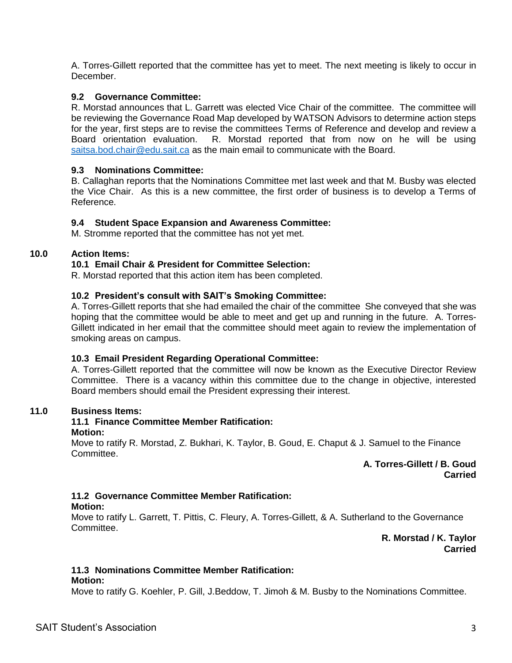A. Torres-Gillett reported that the committee has yet to meet. The next meeting is likely to occur in December.

## **9.2 Governance Committee:**

R. Morstad announces that L. Garrett was elected Vice Chair of the committee. The committee will be reviewing the Governance Road Map developed by WATSON Advisors to determine action steps for the year, first steps are to revise the committees Terms of Reference and develop and review a Board orientation evaluation. R. Morstad reported that from now on he will be using [saitsa.bod.chair@edu.sait.ca](mailto:saitsa.bod.chair@edu.sait.ca) as the main email to communicate with the Board.

## **9.3 Nominations Committee:**

B. Callaghan reports that the Nominations Committee met last week and that M. Busby was elected the Vice Chair. As this is a new committee, the first order of business is to develop a Terms of Reference.

## **9.4 Student Space Expansion and Awareness Committee:**

M. Stromme reported that the committee has not yet met.

## **10.0 Action Items:**

#### **10.1 Email Chair & President for Committee Selection:**

R. Morstad reported that this action item has been completed.

## **10.2 President's consult with SAIT's Smoking Committee:**

A. Torres-Gillett reports that she had emailed the chair of the committee She conveyed that she was hoping that the committee would be able to meet and get up and running in the future. A. Torres-Gillett indicated in her email that the committee should meet again to review the implementation of smoking areas on campus.

## **10.3 Email President Regarding Operational Committee:**

A. Torres-Gillett reported that the committee will now be known as the Executive Director Review Committee. There is a vacancy within this committee due to the change in objective, interested Board members should email the President expressing their interest.

## **11.0 Business Items:**

#### **11.1 Finance Committee Member Ratification:**

#### **Motion:**

Move to ratify R. Morstad, Z. Bukhari, K. Taylor, B. Goud, E. Chaput & J. Samuel to the Finance Committee.

## **A. Torres-Gillett / B. Goud Carried**

## **11.2 Governance Committee Member Ratification:**

#### **Motion:**

Move to ratify L. Garrett, T. Pittis, C. Fleury, A. Torres-Gillett, & A. Sutherland to the Governance Committee.

> **R. Morstad / K. Taylor Carried**

# **11.3 Nominations Committee Member Ratification:**

#### **Motion:**

Move to ratify G. Koehler, P. Gill, J.Beddow, T. Jimoh & M. Busby to the Nominations Committee.